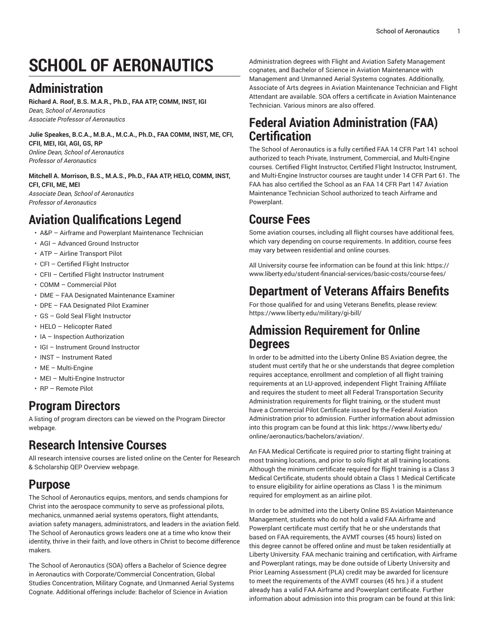# **SCHOOL OF AERONAUTICS**

# **Administration**

**Richard A. Roof, B.S. M.A.R., Ph.D., FAA ATP, COMM, INST, IGI** *Dean, School of Aeronautics Associate Professor of Aeronautics*

**Julie Speakes, B.C.A., M.B.A., M.C.A., Ph.D., FAA COMM, INST, ME, CFI, CFII, MEI, IGI, AGI, GS, RP**  *Online Dean, School of Aeronautics Professor of Aeronautics*

**Mitchell A. Morrison, B.S., M.A.S., Ph.D., FAA ATP, HELO, COMM, INST, CFI, CFII, ME, MEI** *Associate Dean, School of Aeronautics Professor of Aeronautics*

# **Aviation Qualifications Legend**

- A&P Airframe and Powerplant Maintenance Technician
- AGI Advanced Ground Instructor
- ATP Airline Transport Pilot
- CFI Certified Flight Instructor
- CFII Certified Flight Instructor Instrument
- COMM Commercial Pilot
- DME FAA Designated Maintenance Examiner
- DPE FAA Designated Pilot Examiner
- GS Gold Seal Flight Instructor
- HELO Helicopter Rated
- IA Inspection Authorization
- IGI Instrument Ground Instructor
- INST Instrument Rated
- ME Multi-Engine
- MEI Multi-Engine Instructor
- RP Remote Pilot

#### **Program Directors**

A listing of program directors can be viewed on the [Program](https://www.liberty.edu/institutional-effectiveness/academic-program-directors/) Director webpage.

### **Research Intensive Courses**

All research intensive courses are listed online on the Center for Research & Scholarship QEP [Overview](https://www.liberty.edu/center-for-research-scholarship/qep-overview/) webpage.

### **Purpose**

The School of Aeronautics equips, mentors, and sends champions for Christ into the aerospace community to serve as professional pilots, mechanics, unmanned aerial systems operators, flight attendants, aviation safety managers, administrators, and leaders in the aviation field. The School of Aeronautics grows leaders one at a time who know their identity, thrive in their faith, and love others in Christ to become difference makers.

The School of Aeronautics (SOA) offers a Bachelor of Science degree in Aeronautics with Corporate/Commercial Concentration, Global Studies Concentration, Military Cognate, and Unmanned Aerial Systems Cognate. Additional offerings include: Bachelor of Science in Aviation

Administration degrees with Flight and Aviation Safety Management cognates, and Bachelor of Science in Aviation Maintenance with Management and Unmanned Aerial Systems cognates. Additionally, Associate of Arts degrees in Aviation Maintenance Technician and Flight Attendant are available. SOA offers a certificate in Aviation Maintenance Technician. Various minors are also offered.

## **Federal Aviation Administration (FAA) Certification**

The School of Aeronautics is a fully certified FAA 14 CFR Part 141 school authorized to teach Private, Instrument, Commercial, and Multi-Engine courses. Certified Flight Instructor, Certified Flight Instructor, Instrument, and Multi-Engine Instructor courses are taught under 14 CFR Part 61. The FAA has also certified the School as an FAA 14 CFR Part 147 Aviation Maintenance Technician School authorized to teach Airframe and Powerplant.

## **Course Fees**

Some aviation courses, including all flight courses have additional fees, which vary depending on course requirements. In addition, course fees may vary between residential and online courses.

All University course fee information can be found at this link: [https://](https://www.liberty.edu/student-financial-services/basic-costs/course-fees/) [www.liberty.edu/student-financial-services/basic-costs/course-fees/](https://www.liberty.edu/student-financial-services/basic-costs/course-fees/)

# **Department of Veterans Affairs Benefits**

For those qualified for and using Veterans Benefits, please review: <https://www.liberty.edu/military/gi-bill/>

#### **Admission Requirement for Online Degrees**

In order to be admitted into the Liberty Online BS Aviation degree, the student must certify that he or she understands that degree completion requires acceptance, enrollment and completion of all flight training requirements at an LU-approved, independent Flight Training Affiliate and requires the student to meet all Federal Transportation Security Administration requirements for flight training, or the student must have a Commercial Pilot Certificate issued by the Federal Aviation Administration prior to admission. Further information about admission into this program can be found at this link: [https://www.liberty.edu/](https://www.liberty.edu/online/aeronautics/bachelors/aviation/) [online/aeronautics/bachelors/aviation/](https://www.liberty.edu/online/aeronautics/bachelors/aviation/).

An FAA Medical Certificate is required prior to starting flight training at most training locations, and prior to solo flight at all training locations. Although the minimum certificate required for flight training is a Class 3 Medical Certificate, students should obtain a Class 1 Medical Certificate to ensure eligibility for airline operations as Class 1 is the minimum required for employment as an airline pilot.

In order to be admitted into the Liberty Online BS Aviation Maintenance Management, students who do not hold a valid FAA Airframe and Powerplant certificate must certify that he or she understands that based on FAA requirements, the AVMT courses (45 hours) listed on this degree cannot be offered online and must be taken residentially at Liberty University. FAA mechanic training and certification, with Airframe and Powerplant ratings, may be done outside of Liberty University and Prior Learning Assessment (PLA) credit may be awarded for licensure to meet the requirements of the AVMT courses (45 hrs.) if a student already has a valid FAA Airframe and Powerplant certificate. Further information about admission into this program can be found at this link: